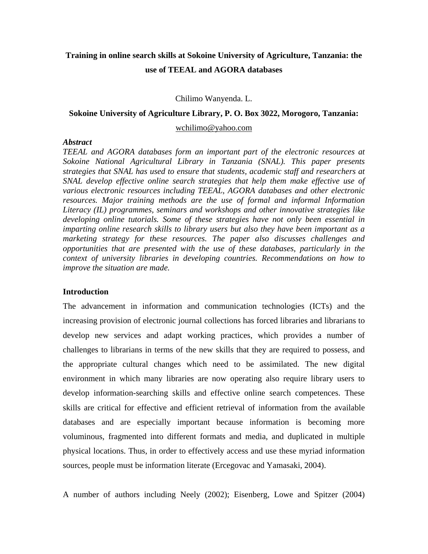# **Training in online search skills at Sokoine University of Agriculture, Tanzania: the use of TEEAL and AGORA databases**

Chilimo Wanyenda. L.

#### **Sokoine University of Agriculture Library, P. O. Box 3022, Morogoro, Tanzania:**

#### [wchilimo@yahoo.com](mailto:wchilimo@yahoo.com)

## *Abstract*

*TEEAL and AGORA databases form an important part of the electronic resources at Sokoine National Agricultural Library in Tanzania (SNAL). This paper presents strategies that SNAL has used to ensure that students, academic staff and researchers at SNAL develop effective online search strategies that help them make effective use of various electronic resources including TEEAL, AGORA databases and other electronic resources. Major training methods are the use of formal and informal Information Literacy (IL) programmes, seminars and workshops and other innovative strategies like developing online tutorials. Some of these strategies have not only been essential in imparting online research skills to library users but also they have been important as a marketing strategy for these resources. The paper also discusses challenges and opportunities that are presented with the use of these databases, particularly in the context of university libraries in developing countries. Recommendations on how to improve the situation are made.* 

## **Introduction**

The advancement in information and communication technologies (ICTs) and the increasing provision of electronic journal collections has forced libraries and librarians to develop new services and adapt working practices, which provides a number of challenges to librarians in terms of the new skills that they are required to possess, and the appropriate cultural changes which need to be assimilated. The new digital environment in which many libraries are now operating also require library users to develop information-searching skills and effective online search competences. These skills are critical for effective and efficient retrieval of information from the available databases and are especially important because information is becoming more voluminous, fragmented into different formats and media, and duplicated in multiple physical locations. Thus, in order to effectively access and use these myriad information sources, people must be information literate (Ercegovac and Yamasaki, 2004).

A number of authors including Neely (2002); Eisenberg, Lowe and Spitzer (2004)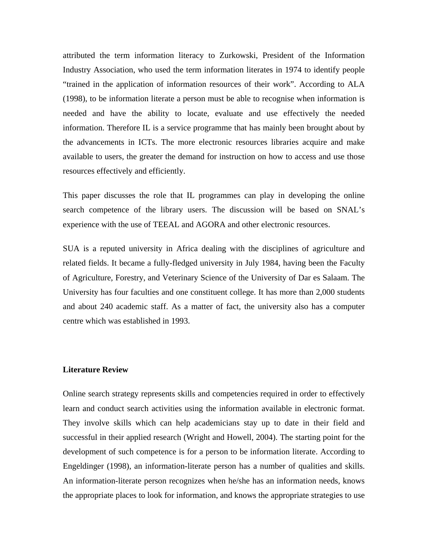attributed the term information literacy to Zurkowski, President of the Information Industry Association, who used the term information literates in 1974 to identify people "trained in the application of information resources of their work". According to ALA (1998), to be information literate a person must be able to recognise when information is needed and have the ability to locate, evaluate and use effectively the needed information. Therefore IL is a service programme that has mainly been brought about by the advancements in ICTs. The more electronic resources libraries acquire and make available to users, the greater the demand for instruction on how to access and use those resources effectively and efficiently.

This paper discusses the role that IL programmes can play in developing the online search competence of the library users. The discussion will be based on SNAL's experience with the use of TEEAL and AGORA and other electronic resources.

SUA is a reputed university in Africa dealing with the disciplines of agriculture and related fields. It became a fully-fledged university in July 1984, having been the Faculty of Agriculture, Forestry, and Veterinary Science of the University of Dar es Salaam. The University has four faculties and one constituent college. It has more than 2,000 students and about 240 academic staff. As a matter of fact, the university also has a computer centre which was established in 1993.

#### **Literature Review**

Online search strategy represents skills and competencies required in order to effectively learn and conduct search activities using the information available in electronic format. They involve skills which can help academicians stay up to date in their field and successful in their applied research (Wright and Howell, 2004). The starting point for the development of such competence is for a person to be information literate. According to Engeldinger (1998), an information-literate person has a number of qualities and skills. An information-literate person recognizes when he/she has an information needs, knows the appropriate places to look for information, and knows the appropriate strategies to use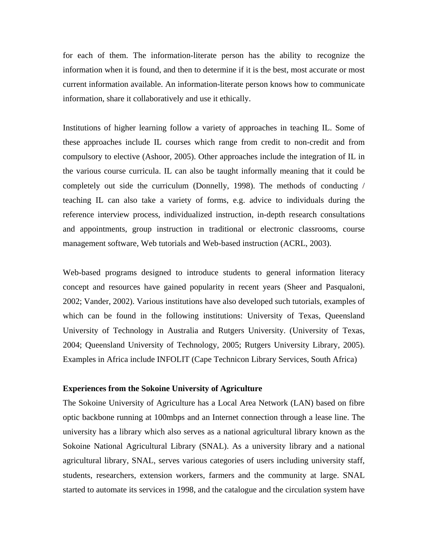for each of them. The information-literate person has the ability to recognize the information when it is found, and then to determine if it is the best, most accurate or most current information available. An information-literate person knows how to communicate information, share it collaboratively and use it ethically.

Institutions of higher learning follow a variety of approaches in teaching IL. Some of these approaches include IL courses which range from credit to non-credit and from compulsory to elective (Ashoor, 2005). Other approaches include the integration of IL in the various course curricula. IL can also be taught informally meaning that it could be completely out side the curriculum (Donnelly, 1998). The methods of conducting / teaching IL can also take a variety of forms, e.g. advice to individuals during the reference interview process, individualized instruction, in-depth research consultations and appointments, group instruction in traditional or electronic classrooms, course management software, Web tutorials and Web-based instruction (ACRL, 2003).

Web-based programs designed to introduce students to general information literacy concept and resources have gained popularity in recent years (Sheer and Pasqualoni, 2002; Vander, 2002). Various institutions have also developed such tutorials, examples of which can be found in the following institutions: University of Texas, Queensland University of Technology in Australia and Rutgers University. (University of Texas, 2004; Queensland University of Technology, 2005; Rutgers University Library, 2005). Examples in Africa include INFOLIT (Cape Technicon Library Services, South Africa)

# **Experiences from the Sokoine University of Agriculture**

The Sokoine University of Agriculture has a Local Area Network (LAN) based on fibre optic backbone running at 100mbps and an Internet connection through a lease line. The university has a library which also serves as a national agricultural library known as the Sokoine National Agricultural Library (SNAL). As a university library and a national agricultural library, SNAL, serves various categories of users including university staff, students, researchers, extension workers, farmers and the community at large. SNAL started to automate its services in 1998, and the catalogue and the circulation system have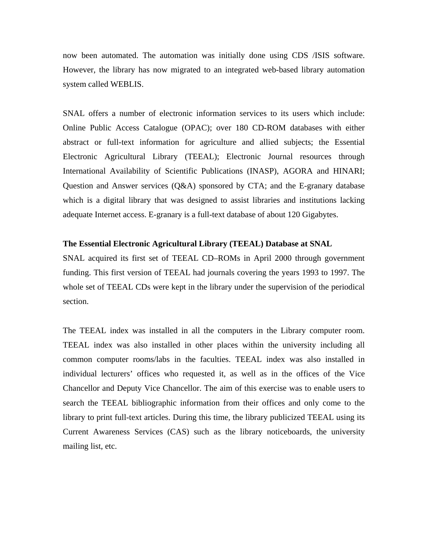now been automated. The automation was initially done using CDS /ISIS software. However, the library has now migrated to an integrated web-based library automation system called WEBLIS.

SNAL offers a number of electronic information services to its users which include: Online Public Access Catalogue (OPAC); over 180 CD-ROM databases with either abstract or full-text information for agriculture and allied subjects; the Essential Electronic Agricultural Library (TEEAL); Electronic Journal resources through International Availability of Scientific Publications (INASP), AGORA and HINARI; Question and Answer services (Q&A) sponsored by CTA; and the E-granary database which is a digital library that was designed to assist libraries and institutions lacking adequate Internet access. E-granary is a full-text database of about 120 Gigabytes.

## **The Essential Electronic Agricultural Library (TEEAL) Database at SNAL**

SNAL acquired its first set of TEEAL CD–ROMs in April 2000 through government funding. This first version of TEEAL had journals covering the years 1993 to 1997. The whole set of TEEAL CDs were kept in the library under the supervision of the periodical section.

The TEEAL index was installed in all the computers in the Library computer room. TEEAL index was also installed in other places within the university including all common computer rooms/labs in the faculties. TEEAL index was also installed in individual lecturers' offices who requested it, as well as in the offices of the Vice Chancellor and Deputy Vice Chancellor. The aim of this exercise was to enable users to search the TEEAL bibliographic information from their offices and only come to the library to print full-text articles. During this time, the library publicized TEEAL using its Current Awareness Services (CAS) such as the library noticeboards, the university mailing list, etc.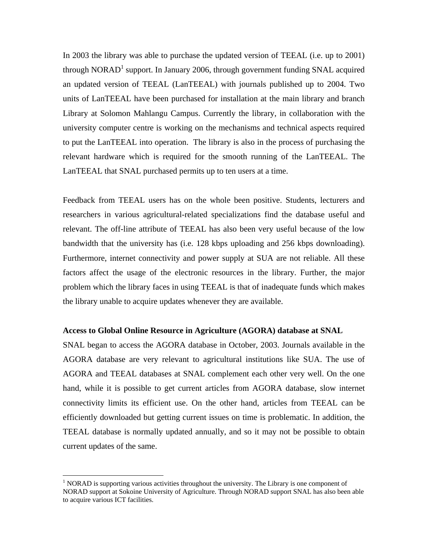In 2003 the library was able to purchase the updated version of TEEAL (i.e. up to 2001) through NORAD<sup>[1](#page-4-0)</sup> support. In January 2006, through government funding SNAL acquired an updated version of TEEAL (LanTEEAL) with journals published up to 2004. Two units of LanTEEAL have been purchased for installation at the main library and branch Library at Solomon Mahlangu Campus. Currently the library, in collaboration with the university computer centre is working on the mechanisms and technical aspects required to put the LanTEEAL into operation. The library is also in the process of purchasing the relevant hardware which is required for the smooth running of the LanTEEAL. The LanTEEAL that SNAL purchased permits up to ten users at a time.

Feedback from TEEAL users has on the whole been positive. Students, lecturers and researchers in various agricultural-related specializations find the database useful and relevant. The off-line attribute of TEEAL has also been very useful because of the low bandwidth that the university has (i.e. 128 kbps uploading and 256 kbps downloading). Furthermore, internet connectivity and power supply at SUA are not reliable. All these factors affect the usage of the electronic resources in the library. Further, the major problem which the library faces in using TEEAL is that of inadequate funds which makes the library unable to acquire updates whenever they are available.

## **Access to Global Online Resource in Agriculture (AGORA) database at SNAL**

SNAL began to access the AGORA database in October, 2003. Journals available in the AGORA database are very relevant to agricultural institutions like SUA. The use of AGORA and TEEAL databases at SNAL complement each other very well. On the one hand, while it is possible to get current articles from AGORA database, slow internet connectivity limits its efficient use. On the other hand, articles from TEEAL can be efficiently downloaded but getting current issues on time is problematic. In addition, the TEEAL database is normally updated annually, and so it may not be possible to obtain current updates of the same.

<span id="page-4-0"></span> $\frac{1}{1}$  $<sup>1</sup>$  NORAD is supporting various activities throughout the university. The Library is one component of</sup> NORAD support at Sokoine University of Agriculture. Through NORAD support SNAL has also been able to acquire various ICT facilities.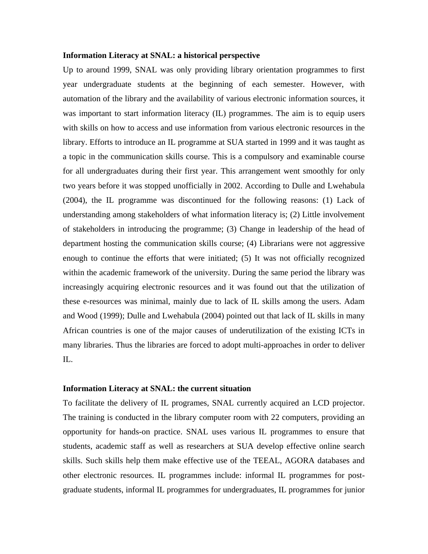## **Information Literacy at SNAL: a historical perspective**

Up to around 1999, SNAL was only providing library orientation programmes to first year undergraduate students at the beginning of each semester. However, with automation of the library and the availability of various electronic information sources, it was important to start information literacy (IL) programmes. The aim is to equip users with skills on how to access and use information from various electronic resources in the library. Efforts to introduce an IL programme at SUA started in 1999 and it was taught as a topic in the communication skills course. This is a compulsory and examinable course for all undergraduates during their first year. This arrangement went smoothly for only two years before it was stopped unofficially in 2002. According to Dulle and Lwehabula (2004), the IL programme was discontinued for the following reasons: (1) Lack of understanding among stakeholders of what information literacy is; (2) Little involvement of stakeholders in introducing the programme; (3) Change in leadership of the head of department hosting the communication skills course; (4) Librarians were not aggressive enough to continue the efforts that were initiated; (5) It was not officially recognized within the academic framework of the university. During the same period the library was increasingly acquiring electronic resources and it was found out that the utilization of these e-resources was minimal, mainly due to lack of IL skills among the users. Adam and Wood (1999); Dulle and Lwehabula (2004) pointed out that lack of IL skills in many African countries is one of the major causes of underutilization of the existing ICTs in many libraries. Thus the libraries are forced to adopt multi-approaches in order to deliver IL.

## **Information Literacy at SNAL: the current situation**

To facilitate the delivery of IL programes, SNAL currently acquired an LCD projector. The training is conducted in the library computer room with 22 computers, providing an opportunity for hands-on practice. SNAL uses various IL programmes to ensure that students, academic staff as well as researchers at SUA develop effective online search skills. Such skills help them make effective use of the TEEAL, AGORA databases and other electronic resources. IL programmes include: informal IL programmes for postgraduate students, informal IL programmes for undergraduates, IL programmes for junior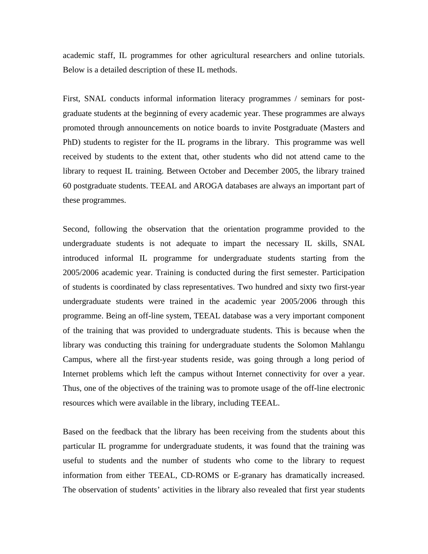academic staff, IL programmes for other agricultural researchers and online tutorials. Below is a detailed description of these IL methods.

First, SNAL conducts informal information literacy programmes / seminars for postgraduate students at the beginning of every academic year. These programmes are always promoted through announcements on notice boards to invite Postgraduate (Masters and PhD) students to register for the IL programs in the library. This programme was well received by students to the extent that, other students who did not attend came to the library to request IL training. Between October and December 2005, the library trained 60 postgraduate students. TEEAL and AROGA databases are always an important part of these programmes.

Second, following the observation that the orientation programme provided to the undergraduate students is not adequate to impart the necessary IL skills, SNAL introduced informal IL programme for undergraduate students starting from the 2005/2006 academic year. Training is conducted during the first semester. Participation of students is coordinated by class representatives. Two hundred and sixty two first-year undergraduate students were trained in the academic year 2005/2006 through this programme. Being an off-line system, TEEAL database was a very important component of the training that was provided to undergraduate students. This is because when the library was conducting this training for undergraduate students the Solomon Mahlangu Campus, where all the first-year students reside, was going through a long period of Internet problems which left the campus without Internet connectivity for over a year. Thus, one of the objectives of the training was to promote usage of the off-line electronic resources which were available in the library, including TEEAL.

Based on the feedback that the library has been receiving from the students about this particular IL programme for undergraduate students, it was found that the training was useful to students and the number of students who come to the library to request information from either TEEAL, CD-ROMS or E-granary has dramatically increased. The observation of students' activities in the library also revealed that first year students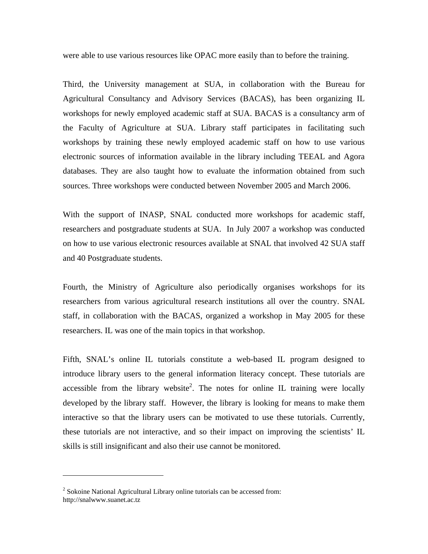were able to use various resources like OPAC more easily than to before the training.

Third, the University management at SUA, in collaboration with the Bureau for Agricultural Consultancy and Advisory Services (BACAS), has been organizing IL workshops for newly employed academic staff at SUA. BACAS is a consultancy arm of the Faculty of Agriculture at SUA. Library staff participates in facilitating such workshops by training these newly employed academic staff on how to use various electronic sources of information available in the library including TEEAL and Agora databases. They are also taught how to evaluate the information obtained from such sources. Three workshops were conducted between November 2005 and March 2006.

With the support of INASP, SNAL conducted more workshops for academic staff, researchers and postgraduate students at SUA. In July 2007 a workshop was conducted on how to use various electronic resources available at SNAL that involved 42 SUA staff and 40 Postgraduate students.

Fourth, the Ministry of Agriculture also periodically organises workshops for its researchers from various agricultural research institutions all over the country. SNAL staff, in collaboration with the BACAS, organized a workshop in May 2005 for these researchers. IL was one of the main topics in that workshop.

Fifth, SNAL's online IL tutorials constitute a web-based IL program designed to introduce library users to the general information literacy concept. These tutorials are accessible from the library website<sup>[2](#page-7-0)</sup>. The notes for online IL training were locally developed by the library staff. However, the library is looking for means to make them interactive so that the library users can be motivated to use these tutorials. Currently, these tutorials are not interactive, and so their impact on improving the scientists' IL skills is still insignificant and also their use cannot be monitored.

1

<span id="page-7-0"></span> $2^{2}$  Sokoine National Agricultural Library online tutorials can be accessed from: http://snalwww.suanet.ac.tz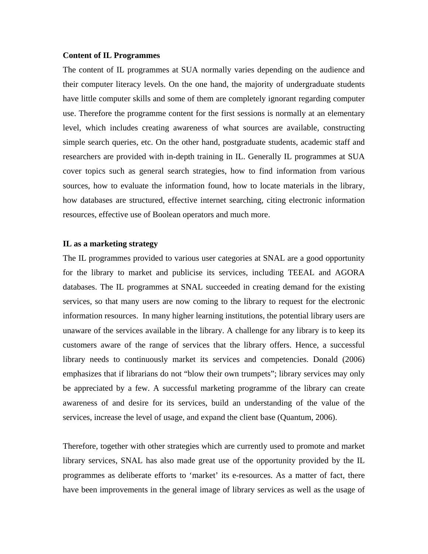#### **Content of IL Programmes**

The content of IL programmes at SUA normally varies depending on the audience and their computer literacy levels. On the one hand, the majority of undergraduate students have little computer skills and some of them are completely ignorant regarding computer use. Therefore the programme content for the first sessions is normally at an elementary level, which includes creating awareness of what sources are available, constructing simple search queries, etc. On the other hand, postgraduate students, academic staff and researchers are provided with in-depth training in IL. Generally IL programmes at SUA cover topics such as general search strategies, how to find information from various sources, how to evaluate the information found, how to locate materials in the library, how databases are structured, effective internet searching, citing electronic information resources, effective use of Boolean operators and much more.

## **IL as a marketing strategy**

The IL programmes provided to various user categories at SNAL are a good opportunity for the library to market and publicise its services, including TEEAL and AGORA databases. The IL programmes at SNAL succeeded in creating demand for the existing services, so that many users are now coming to the library to request for the electronic information resources. In many higher learning institutions, the potential library users are unaware of the services available in the library. A challenge for any library is to keep its customers aware of the range of services that the library offers. Hence, a successful library needs to continuously market its services and competencies. Donald (2006) emphasizes that if librarians do not "blow their own trumpets"; library services may only be appreciated by a few. A successful marketing programme of the library can create awareness of and desire for its services, build an understanding of the value of the services, increase the level of usage, and expand the client base (Quantum, 2006).

Therefore, together with other strategies which are currently used to promote and market library services, SNAL has also made great use of the opportunity provided by the IL programmes as deliberate efforts to 'market' its e-resources. As a matter of fact, there have been improvements in the general image of library services as well as the usage of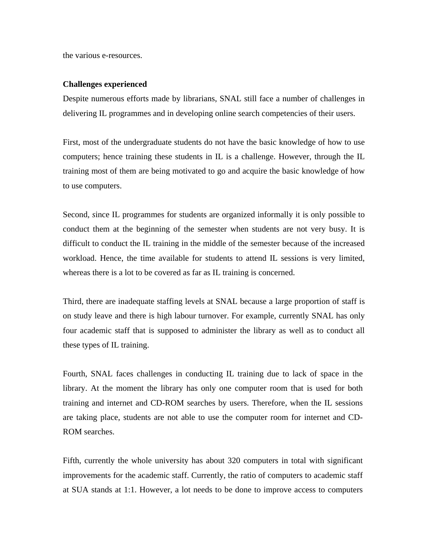the various e-resources.

#### **Challenges experienced**

Despite numerous efforts made by librarians, SNAL still face a number of challenges in delivering IL programmes and in developing online search competencies of their users.

First, most of the undergraduate students do not have the basic knowledge of how to use computers; hence training these students in IL is a challenge. However, through the IL training most of them are being motivated to go and acquire the basic knowledge of how to use computers.

Second*, s*ince IL programmes for students are organized informally it is only possible to conduct them at the beginning of the semester when students are not very busy. It is difficult to conduct the IL training in the middle of the semester because of the increased workload. Hence, the time available for students to attend IL sessions is very limited, whereas there is a lot to be covered as far as IL training is concerned.

Third, there are inadequate staffing levels at SNAL because a large proportion of staff is on study leave and there is high labour turnover. For example, currently SNAL has only four academic staff that is supposed to administer the library as well as to conduct all these types of IL training.

Fourth, SNAL faces challenges in conducting IL training due to lack of space in the library. At the moment the library has only one computer room that is used for both training and internet and CD-ROM searches by users. Therefore, when the IL sessions are taking place, students are not able to use the computer room for internet and CD-ROM searches.

Fifth, currently the whole university has about 320 computers in total with significant improvements for the academic staff. Currently, the ratio of computers to academic staff at SUA stands at 1:1. However, a lot needs to be done to improve access to computers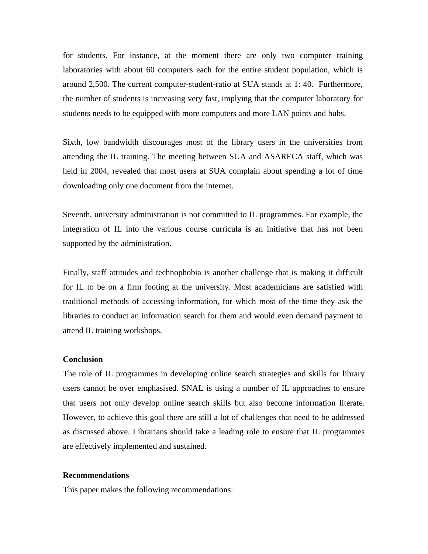for students. For instance, at the moment there are only two computer training laboratories with about 60 computers each for the entire student population, which is around 2,500. The current computer-student-ratio at SUA stands at 1: 40. Furthermore, the number of students is increasing very fast, implying that the computer laboratory for students needs to be equipped with more computers and more LAN points and hubs.

Sixth, low bandwidth discourages most of the library users in the universities from attending the IL training. The meeting between SUA and ASARECA staff, which was held in 2004, revealed that most users at SUA complain about spending a lot of time downloading only one document from the internet.

Seventh, university administration is not committed to IL programmes. For example, the integration of IL into the various course curricula is an initiative that has not been supported by the administration.

Finally, staff attitudes and technophobia is another challenge that is making it difficult for IL to be on a firm footing at the university. Most academicians are satisfied with traditional methods of accessing information, for which most of the time they ask the libraries to conduct an information search for them and would even demand payment to attend IL training workshops.

## **Conclusion**

The role of IL programmes in developing online search strategies and skills for library users cannot be over emphasised. SNAL is using a number of IL approaches to ensure that users not only develop online search skills but also become information literate. However, to achieve this goal there are still a lot of challenges that need to be addressed as discussed above. Librarians should take a leading role to ensure that IL programmes are effectively implemented and sustained.

## **Recommendations**

This paper makes the following recommendations: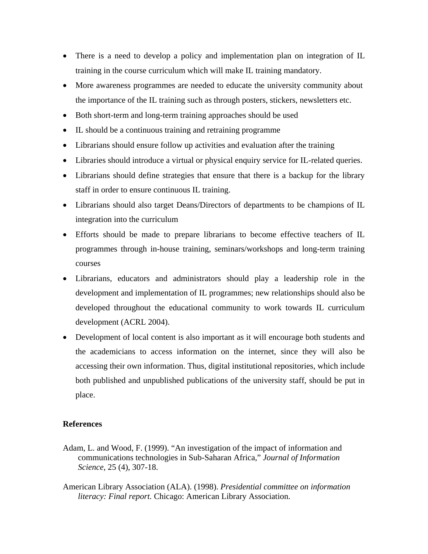- There is a need to develop a policy and implementation plan on integration of IL training in the course curriculum which will make IL training mandatory.
- More awareness programmes are needed to educate the university community about the importance of the IL training such as through posters, stickers, newsletters etc.
- Both short-term and long-term training approaches should be used
- IL should be a continuous training and retraining programme
- Librarians should ensure follow up activities and evaluation after the training
- Libraries should introduce a virtual or physical enquiry service for IL-related queries.
- Librarians should define strategies that ensure that there is a backup for the library staff in order to ensure continuous IL training.
- Librarians should also target Deans/Directors of departments to be champions of IL integration into the curriculum
- Efforts should be made to prepare librarians to become effective teachers of IL programmes through in-house training, seminars/workshops and long-term training courses
- Librarians, educators and administrators should play a leadership role in the development and implementation of IL programmes; new relationships should also be developed throughout the educational community to work towards IL curriculum development (ACRL 2004).
- Development of local content is also important as it will encourage both students and the academicians to access information on the internet, since they will also be accessing their own information. Thus, digital institutional repositories, which include both published and unpublished publications of the university staff, should be put in place.

# **References**

- Adam, L. and Wood, F. (1999). "An investigation of the impact of information and communications technologies in Sub-Saharan Africa," *Journal of Information Science,* 25 (4), 307-18.
- American Library Association (ALA). (1998). *Presidential committee on information literacy: Final report.* Chicago: American Library Association.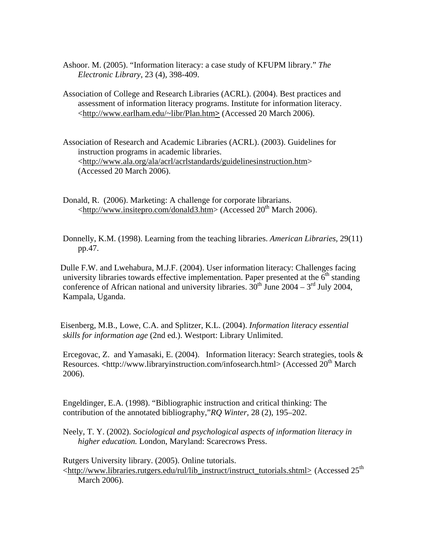- Ashoor. M. (2005). "Information literacy: a case study of KFUPM library." *The Electronic Library*, 23 (4), 398-409.
- Association of College and Research Libraries (ACRL). (2004). Best practices and assessment of information literacy programs. Institute for information literacy. [<http://www.earlham.edu/~libr/Plan.htm](http://www.earlham.edu/~libr/Plan.htm)**>** (Accessed 20 March 2006).

Association of Research and Academic Libraries (ACRL). (2003). Guidelines for instruction programs in academic libraries. <http://www.ala.org/ala/acrl/acrlstandards/guidelinesinstruction.htm> (Accessed 20 March 2006).

- Donald, R. (2006). Marketing: A challenge for corporate librarians.  $\lt$ http://www.insitepro.com/donald3.htm> (Accessed 20<sup>th</sup> March 2006).
- Donnelly, K.M. (1998). Learning from the teaching libraries. *American Libraries,* 29(11) pp.47.
- Dulle F.W. and Lwehabura, M.J.F. (2004). User information literacy: Challenges facing university libraries towards effective implementation. Paper presented at the  $6<sup>th</sup>$  standing conference of African national and university libraries.  $30^{th}$  June 2004 –  $3^{rd}$  July 2004, Kampala, Uganda.

Eisenberg, M.B., Lowe, C.A. and Splitzer, K.L. (2004). *Information literacy essential skills for information age* (2nd ed.). Westport: Library Unlimited.

Ercegovac, Z. and Yamasaki, E. (2004). Information literacy: Search strategies, tools & Resources. **<**<http://www.libraryinstruction.com/infosearch.html>> (Accessed 20th March 2006).

Engeldinger, E.A. (1998). "Bibliographic instruction and critical thinking: The contribution of the annotated bibliography,"*RQ Winter,* 28 (2), 195–202.

Neely, T. Y. (2002). *Sociological and psychological aspects of information literacy in higher education.* London, Maryland: Scarecrows Press.

Rutgers University library. (2005). Online tutorials.

<[http://www.libraries.rutgers.edu/rul/lib\\_instruct/instruct\\_tutorials.shtml](http://www.libraries.rutgers.edu/rul/lib_instruct/instruct_tutorials.shtml)> (Accessed 25th March 2006).